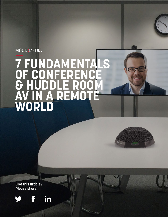# MOOD:MEDIA

# **7 FUNDAMENTALS OF CONFERENT**<br>& HUDDLE ROC **& HUDDLE ROOM AV IN A REMOTE WORLD**

**Like this article? Please share!** 

f



in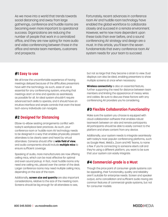As we move into a world that trends towards social distancing and away from large gatherings, conference and huddle rooms are becoming even more important to operational success. Organizations are reducing the number of people that work in a centralized office, and they are now opting for more audio and video conferencing between those in the office and remote team members, customers and prospects.

Fortunately, recent advances in conference room AV and huddle room technology have enabled the global workforce to collaborate closely and succeed in a remote environment. However, we're now more dependent upon these tools than ever before, and a sound conferencing AV strategy and design are a must. In this article, you'll learn the seven fundamentals that every conference room AV system needs for your team to succeed.

#### **#1 Easy to use**

We all know the uncomfortable experience of having meetings delayed because of the difficulties presenters have with the technology. As such, ease of use is essential for any conferencing system, ensuring that meetings start on time and operate as seamlessly as possible for all. An ideal system shouldn't require advanced tech skills to operate, and it should have an intuitive interface and simple controls that even the least tech-savvy individuals can navigate.

#### **#2 Designed for Distancing**

Elbow-to-elbow seating arrangements conflict with today's workplace best practices. As such, your conference room or huddle room AV technology needs to be designed in a way that enables physically-present attendees to be clearly seen and heard by virtual attendees. Cameras should offer a **wide field of view**, and audio components should include **multiple mics** to ensure sufficient coverage.

Speaking of audio, more manufacturers are now offering ceiling mics, which can be most effective for optimal and even sound pickup. In fact, most huddle rooms only need one ceiling mic, placed over the center of the desk. Larger conference rooms may need multiple ceiling mics, depending on the size of the room.

Additionally, **screen size and quantity** are also important considerations, relative to the size of the meeting room. Screens should be big enough for all attendees to see,

but not so large that they become a strain to view. Dual displays can also be ideal, enabling presenters to show multiple screens at once when necessary.

**Wireless connectivity** is also an essential feature, further supporting the need for distance between team members and limiting the appearance of messy wires and cables. Be sure to discuss these factors with any conferencing AV providers you're considering.

#### **#3 Flexible Collaboration Functionality**

Make sure the system you choose is equipped with cloud-collaboration software that enables robust teamwork between on-site and remote participants. All participants should be able to easily connect to the platform and share content from any device.

Additionally, your system needs to integrate seamlessly with today's most popular conferencing platforms, such as Google Meet, WebEx, Zoom and MS Teams, to name a few. If you're connecting to someone else's call and they're using a different platform, you want to be sure that your system can easily integrate.

#### **#4 Commercial-grade is a Must**

Though the price point of consumer-grade systems can be appealing, their functionality, quality and reliability aren't suitable for enterprise needs. Screen and speaker output, echo cancellation and sufficient audio mixing are common features of commercial-grade systems, but not for consumer models.